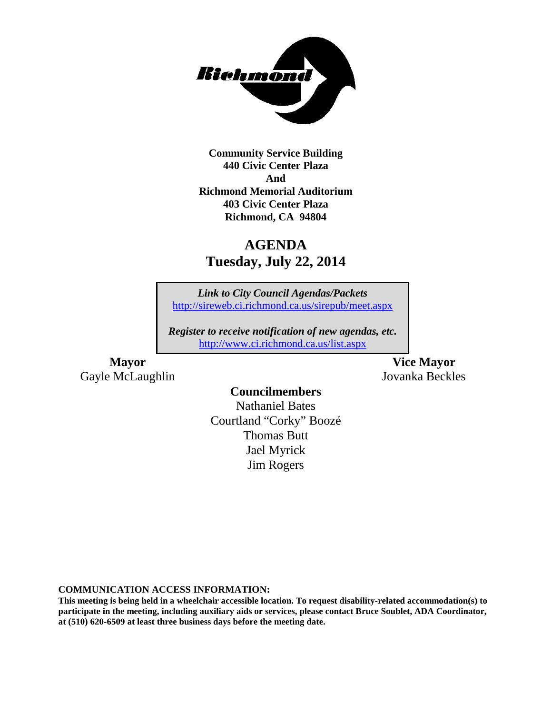

**Community Service Building 440 Civic Center Plaza And Richmond Memorial Auditorium 403 Civic Center Plaza Richmond, CA 94804**

# **AGENDA Tuesday, July 22, 2014**

*Link to City Council Agendas/Packets* <http://sireweb.ci.richmond.ca.us/sirepub/meet.aspx>

*Register to receive notification of new agendas, etc.* <http://www.ci.richmond.ca.us/list.aspx>

**Mayor Vice Mayor** Gayle McLaughlin Jovanka Beckles

### **Councilmembers**

Nathaniel Bates Courtland "Corky" Boozé Thomas Butt Jael Myrick Jim Rogers

**COMMUNICATION ACCESS INFORMATION:**

**This meeting is being held in a wheelchair accessible location. To request disability-related accommodation(s) to participate in the meeting, including auxiliary aids or services, please contact Bruce Soublet, ADA Coordinator, at (510) 620-6509 at least three business days before the meeting date.**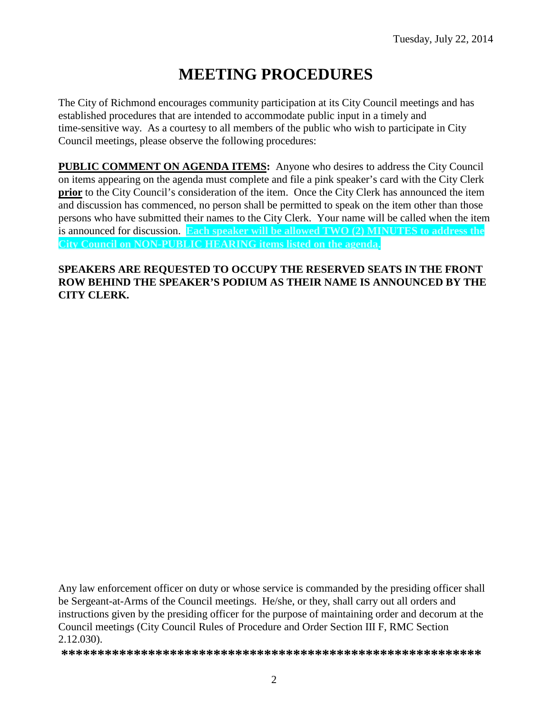# **MEETING PROCEDURES**

The City of Richmond encourages community participation at its City Council meetings and has established procedures that are intended to accommodate public input in a timely and time-sensitive way. As a courtesy to all members of the public who wish to participate in City Council meetings, please observe the following procedures:

**PUBLIC COMMENT ON AGENDA ITEMS:** Anyone who desires to address the City Council on items appearing on the agenda must complete and file a pink speaker's card with the City Clerk **prior** to the City Council's consideration of the item. Once the City Clerk has announced the item and discussion has commenced, no person shall be permitted to speak on the item other than those persons who have submitted their names to the City Clerk. Your name will be called when the item is announced for discussion. **Each speaker will be allowed TWO (2) MINUTES to address the City Council on NON-PUBLIC HEARING items listed on the agenda.**

### **SPEAKERS ARE REQUESTED TO OCCUPY THE RESERVED SEATS IN THE FRONT ROW BEHIND THE SPEAKER'S PODIUM AS THEIR NAME IS ANNOUNCED BY THE CITY CLERK.**

Any law enforcement officer on duty or whose service is commanded by the presiding officer shall be Sergeant-at-Arms of the Council meetings. He/she, or they, shall carry out all orders and instructions given by the presiding officer for the purpose of maintaining order and decorum at the Council meetings (City Council Rules of Procedure and Order Section III F, RMC Section 2.12.030).

**\*\*\*\*\*\*\*\*\*\*\*\*\*\*\*\*\*\*\*\*\*\*\*\*\*\*\*\*\*\*\*\*\*\*\*\*\*\*\*\*\*\*\*\*\*\*\*\*\*\*\*\*\*\*\*\*\*\***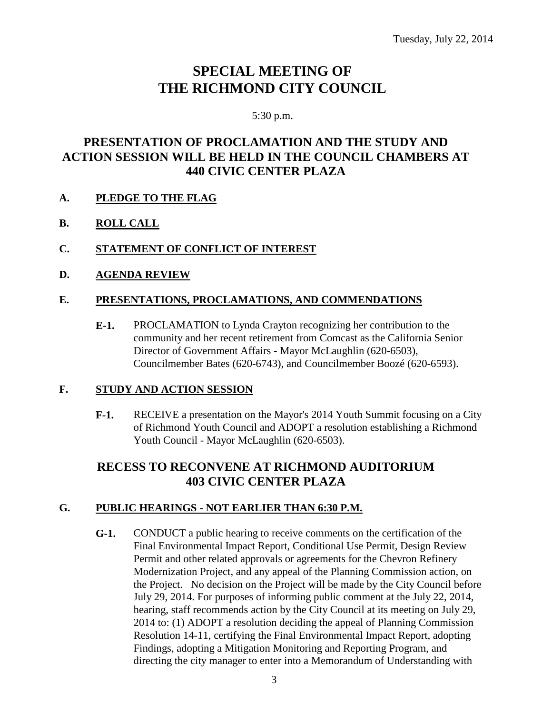## **SPECIAL MEETING OF THE RICHMOND CITY COUNCIL**

#### 5:30 p.m.

### **PRESENTATION OF PROCLAMATION AND THE STUDY AND ACTION SESSION WILL BE HELD IN THE COUNCIL CHAMBERS AT 440 CIVIC CENTER PLAZA**

- **A. PLEDGE TO THE FLAG**
- **B. ROLL CALL**
- **C. STATEMENT OF CONFLICT OF INTEREST**
- **D. AGENDA REVIEW**

### **E. PRESENTATIONS, PROCLAMATIONS, AND COMMENDATIONS**

**E-1.** PROCLAMATION to Lynda Crayton recognizing her contribution to the community and her recent retirement from Comcast as the California Senior Director of Government Affairs - Mayor McLaughlin (620-6503), Councilmember Bates (620-6743), and Councilmember Boozé (620-6593).

### **F. STUDY AND ACTION SESSION**

**F-1.** RECEIVE a presentation on the Mayor's 2014 Youth Summit focusing on a City of Richmond Youth Council and ADOPT a resolution establishing a Richmond Youth Council - Mayor McLaughlin (620-6503).

### **RECESS TO RECONVENE AT RICHMOND AUDITORIUM 403 CIVIC CENTER PLAZA**

### **G. PUBLIC HEARINGS - NOT EARLIER THAN 6:30 P.M.**

**G-1.** CONDUCT a public hearing to receive comments on the certification of the Final Environmental Impact Report, Conditional Use Permit, Design Review Permit and other related approvals or agreements for the Chevron Refinery Modernization Project, and any appeal of the Planning Commission action, on the Project. No decision on the Project will be made by the City Council before July 29, 2014. For purposes of informing public comment at the July 22, 2014, hearing, staff recommends action by the City Council at its meeting on July 29, 2014 to: (1) ADOPT a resolution deciding the appeal of Planning Commission Resolution 14-11, certifying the Final Environmental Impact Report, adopting Findings, adopting a Mitigation Monitoring and Reporting Program, and directing the city manager to enter into a Memorandum of Understanding with